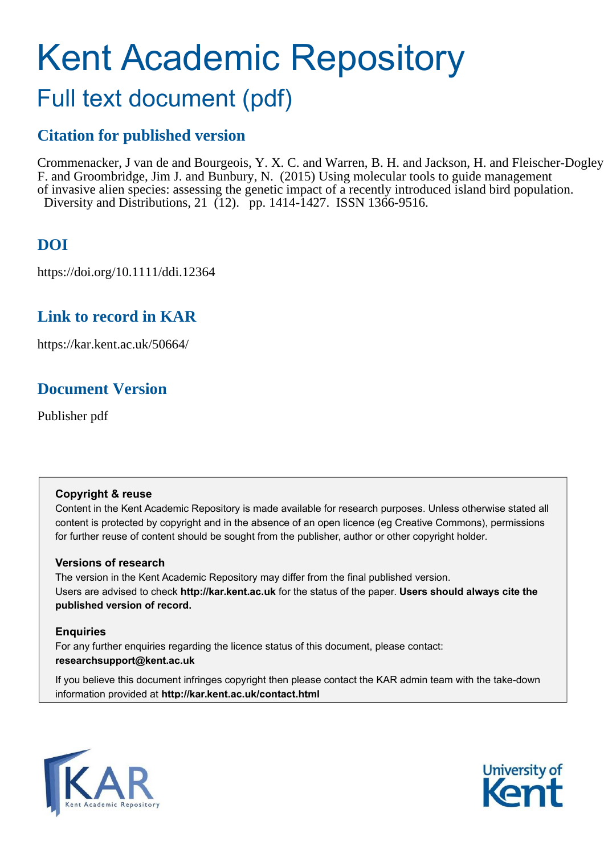# Kent Academic Repository

## Full text document (pdf)

## **Citation for published version**

Crommenacker, J van de and Bourgeois, Y. X. C. and Warren, B. H. and Jackson, H. and Fleischer-Dogley, F. and Groombridge, Jim J. and Bunbury, N. (2015) Using molecular tools to guide management of invasive alien species: assessing the genetic impact of a recently introduced island bird population. Diversity and Distributions, 21 (12). pp. 1414-1427. ISSN 1366-9516.

## **DOI**

https://doi.org/10.1111/ddi.12364

### **Link to record in KAR**

https://kar.kent.ac.uk/50664/

## **Document Version**

Publisher pdf

#### **Copyright & reuse**

Content in the Kent Academic Repository is made available for research purposes. Unless otherwise stated all content is protected by copyright and in the absence of an open licence (eg Creative Commons), permissions for further reuse of content should be sought from the publisher, author or other copyright holder.

#### **Versions of research**

The version in the Kent Academic Repository may differ from the final published version. Users are advised to check **http://kar.kent.ac.uk** for the status of the paper. **Users should always cite the published version of record.**

#### **Enquiries**

For any further enquiries regarding the licence status of this document, please contact: **researchsupport@kent.ac.uk**

If you believe this document infringes copyright then please contact the KAR admin team with the take-down information provided at **http://kar.kent.ac.uk/contact.html**



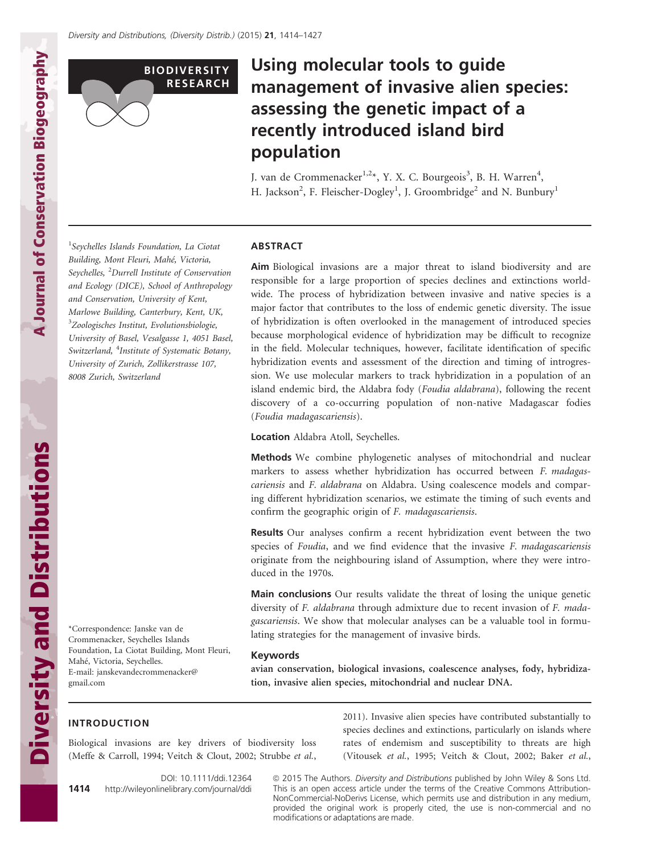

## Using molecular tools to guide management of invasive alien species: assessing the genetic impact of a recently introduced island bird population

J. van de Crommenacker<sup>1,2</sup>\*, Y. X. C. Bourgeois<sup>3</sup>, B. H. Warren<sup>4</sup>, H. Jackson<sup>2</sup>, F. Fleischer-Dogley<sup>1</sup>, J. Groombridge<sup>2</sup> and N. Bunbury<sup>1</sup>

1 *Seychelles Islands Foundation, La Ciotat Building, Mont Fleuri, Mahe, Victoria, Seychelles,* <sup>2</sup>*Durrell Institute of Conservation and Ecology (DICE), School of Anthropology and Conservation, University of Kent, Marlowe Building, Canterbury, Kent, UK,* 3 *Zoologisches Institut, Evolutionsbiologie, University of Basel, Vesalgasse 1, 4051 Basel, Switzerland,* <sup>4</sup> *Institute of Systematic Botany, University of Zurich, Zollikerstrasse 107, 8008 Zurich, Switzerland*

#### ABSTRACT

Aim Biological invasions are a major threat to island biodiversity and are responsible for a large proportion of species declines and extinctions worldwide. The process of hybridization between invasive and native species is a major factor that contributes to the loss of endemic genetic diversity. The issue of hybridization is often overlooked in the management of introduced species because morphological evidence of hybridization may be difficult to recognize in the field. Molecular techniques, however, facilitate identification of specific hybridization events and assessment of the direction and timing of introgression. We use molecular markers to track hybridization in a population of an island endemic bird, the Aldabra fody (*Foudia aldabrana*), following the recent discovery of a co-occurring population of non-native Madagascar fodies (*Foudia madagascariensis*).

Location Aldabra Atoll, Seychelles.

Methods We combine phylogenetic analyses of mitochondrial and nuclear markers to assess whether hybridization has occurred between *F. madagascariensis* and *F. aldabrana* on Aldabra. Using coalescence models and comparing different hybridization scenarios, we estimate the timing of such events and confirm the geographic origin of *F. madagascariensis*.

Results Our analyses confirm a recent hybridization event between the two species of *Foudia*, and we find evidence that the invasive *F. madagascariensis* originate from the neighbouring island of Assumption, where they were introduced in the 1970s.

Main conclusions Our results validate the threat of losing the unique genetic diversity of *F. aldabrana* through admixture due to recent invasion of *F. madagascariensis*. We show that molecular analyses can be a valuable tool in formulating strategies for the management of invasive birds.

#### Keywords

avian conservation, biological invasions, coalescence analyses, fody, hybridization, invasive alien species, mitochondrial and nuclear DNA.

#### INTRODUCTION

gmail.com

\*Correspondence: Janske van de Crommenacker, Seychelles Islands

Mahe, Victoria, Seychelles. E-mail: janskevandecrommenacker@

Foundation, La Ciotat Building, Mont Fleuri,

Biological invasions are key drivers of biodiversity loss (Meffe & Carroll, 1994; Veitch & Clout, 2002; Strubbe *et al.*,

DOI: 10.1111/ddi.12364 1414 http://wileyonlinelibrary.com/journal/ddi 2011). Invasive alien species have contributed substantially to species declines and extinctions, particularly on islands where rates of endemism and susceptibility to threats are high (Vitousek *et al.*, 1995; Veitch & Clout, 2002; Baker *et al.*,

ª 2015 The Authors. Diversity and Distributions published by John Wiley & Sons Ltd. This is an open access article under the terms of the [Creative Commons Attribution-](http://www.fluxus-engineering.com)[NonCommercial-NoDerivs](http://www.fluxus-engineering.com) License, which permits use and distribution in any medium, provided the original work is properly cited, the use is non-commercial and no modifications or adaptations are made.

A Journal of Conservation Biogeography

**A Journal of Conservation Biogeography**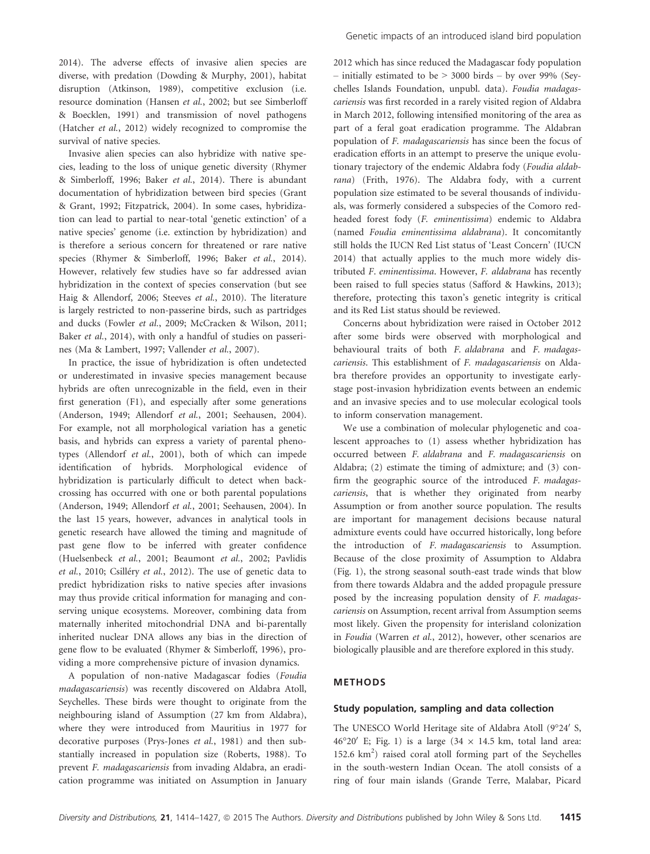2014). The adverse effects of invasive alien species are diverse, with predation (Dowding & Murphy, 2001), habitat disruption (Atkinson, 1989), competitive exclusion (i.e. resource domination (Hansen *et al.*, 2002; but see Simberloff & Boecklen, 1991) and transmission of novel pathogens (Hatcher *et al.*, 2012) widely recognized to compromise the survival of native species.

Invasive alien species can also hybridize with native species, leading to the loss of unique genetic diversity (Rhymer & Simberloff, 1996; Baker *et al.*, 2014). There is abundant documentation of hybridization between bird species (Grant & Grant, 1992; Fitzpatrick, 2004). In some cases, hybridization can lead to partial to near-total 'genetic extinction' of a native species' genome (i.e. extinction by hybridization) and is therefore a serious concern for threatened or rare native species (Rhymer & Simberloff, 1996; Baker *et al.*, 2014). However, relatively few studies have so far addressed avian hybridization in the context of species conservation (but see Haig & Allendorf, 2006; Steeves *et al.*, 2010). The literature is largely restricted to non-passerine birds, such as partridges and ducks (Fowler *et al.*, 2009; McCracken & Wilson, 2011; Baker *et al.*, 2014), with only a handful of studies on passerines (Ma & Lambert, 1997; Vallender *et al.*, 2007).

In practice, the issue of hybridization is often undetected or underestimated in invasive species management because hybrids are often unrecognizable in the field, even in their first generation (F1), and especially after some generations (Anderson, 1949; Allendorf *et al.*, 2001; Seehausen, 2004). For example, not all morphological variation has a genetic basis, and hybrids can express a variety of parental phenotypes (Allendorf *et al.*, 2001), both of which can impede identification of hybrids. Morphological evidence of hybridization is particularly difficult to detect when backcrossing has occurred with one or both parental populations (Anderson, 1949; Allendorf *et al.*, 2001; Seehausen, 2004). In the last 15 years, however, advances in analytical tools in genetic research have allowed the timing and magnitude of past gene flow to be inferred with greater confidence (Huelsenbeck *et al.*, 2001; Beaumont *et al.*, 2002; Pavlidis *et al.*, 2010; Csilléry *et al.*, 2012). The use of genetic data to predict hybridization risks to native species after invasions may thus provide critical information for managing and conserving unique ecosystems. Moreover, combining data from maternally inherited mitochondrial DNA and bi-parentally inherited nuclear DNA allows any bias in the direction of gene flow to be evaluated (Rhymer & Simberloff, 1996), providing a more comprehensive picture of invasion dynamics.

A population of non-native Madagascar fodies (*Foudia madagascariensis*) was recently discovered on Aldabra Atoll, Seychelles. These birds were thought to originate from the neighbouring island of Assumption (27 km from Aldabra), where they were introduced from Mauritius in 1977 for decorative purposes (Prys-Jones *et al.*, 1981) and then substantially increased in population size (Roberts, 1988). To prevent *F. madagascariensis* from invading Aldabra, an eradication programme was initiated on Assumption in January 2012 which has since reduced the Madagascar fody population – initially estimated to be > 3000 birds – by over 99% (Seychelles Islands Foundation, unpubl. data). *Foudia madagascariensis* was first recorded in a rarely visited region of Aldabra in March 2012, following intensified monitoring of the area as part of a feral goat eradication programme. The Aldabran population of *F. madagascariensis* has since been the focus of eradication efforts in an attempt to preserve the unique evolutionary trajectory of the endemic Aldabra fody (*Foudia aldabrana*) (Frith, 1976). The Aldabra fody, with a current population size estimated to be several thousands of individuals, was formerly considered a subspecies of the Comoro redheaded forest fody (*F. eminentissima*) endemic to Aldabra (named *Foudia eminentissima aldabrana*). It concomitantly still holds the IUCN Red List status of 'Least Concern' (IUCN 2014) that actually applies to the much more widely distributed *F*. *eminentissima*. However, *F. aldabrana* has recently been raised to full species status (Safford & Hawkins, 2013); therefore, protecting this taxon's genetic integrity is critical and its Red List status should be reviewed.

Concerns about hybridization were raised in October 2012 after some birds were observed with morphological and behavioural traits of both *F. aldabrana* and *F. madagascariensis*. This establishment of *F. madagascariensis* on Aldabra therefore provides an opportunity to investigate earlystage post-invasion hybridization events between an endemic and an invasive species and to use molecular ecological tools to inform conservation management.

We use a combination of molecular phylogenetic and coalescent approaches to (1) assess whether hybridization has occurred between *F. aldabrana* and *F. madagascariensis* on Aldabra; (2) estimate the timing of admixture; and (3) confirm the geographic source of the introduced *F. madagascariensis*, that is whether they originated from nearby Assumption or from another source population. The results are important for management decisions because natural admixture events could have occurred historically, long before the introduction of *F. madagascariensis* to Assumption. Because of the close proximity of Assumption to Aldabra (Fig. 1), the strong seasonal south-east trade winds that blow from there towards Aldabra and the added propagule pressure posed by the increasing population density of *F. madagascariensis* on Assumption, recent arrival from Assumption seems most likely. Given the propensity for interisland colonization in *Foudia* (Warren *et al.*, 2012), however, other scenarios are biologically plausible and are therefore explored in this study.

#### METHODS

#### Study population, sampling and data collection

The UNESCO World Heritage site of Aldabra Atoll (9°24' S, 46°20′ E; Fig. 1) is a large (34  $\times$  14.5 km, total land area: 152.6 km<sup>2</sup>) raised coral atoll forming part of the Seychelles in the south-western Indian Ocean. The atoll consists of a ring of four main islands (Grande Terre, Malabar, Picard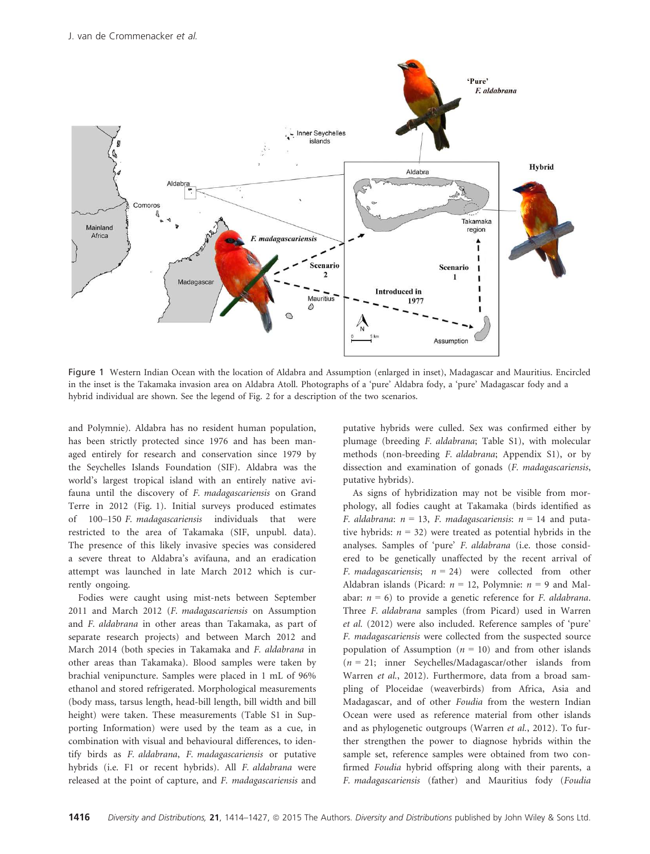

Figure 1 Western Indian Ocean with the location of Aldabra and Assumption (enlarged in inset), Madagascar and Mauritius. Encircled in the inset is the Takamaka invasion area on Aldabra Atoll. Photographs of a 'pure' Aldabra fody, a 'pure' Madagascar fody and a hybrid individual are shown. See the legend of Fig. 2 for a description of the two scenarios.

and Polymnie). Aldabra has no resident human population, has been strictly protected since 1976 and has been managed entirely for research and conservation since 1979 by the Seychelles Islands Foundation (SIF). Aldabra was the world's largest tropical island with an entirely native avifauna until the discovery of *F. madagascariensis* on Grand Terre in 2012 (Fig. 1). Initial surveys produced estimates of 100–150 *F. madagascariensis* individuals that were restricted to the area of Takamaka (SIF, unpubl. data). The presence of this likely invasive species was considered a severe threat to Aldabra's avifauna, and an eradication attempt was launched in late March 2012 which is currently ongoing.

Fodies were caught using mist-nets between September 2011 and March 2012 (*F. madagascariensis* on Assumption and *F. aldabrana* in other areas than Takamaka, as part of separate research projects) and between March 2012 and March 2014 (both species in Takamaka and *F. aldabrana* in other areas than Takamaka). Blood samples were taken by brachial venipuncture. Samples were placed in 1 mL of 96% ethanol and stored refrigerated. Morphological measurements (body mass, tarsus length, head-bill length, bill width and bill height) were taken. These measurements (Table S1 in Supporting Information) were used by the team as a cue, in combination with visual and behavioural differences, to identify birds as *F. aldabrana*, *F. madagascariensis* or putative hybrids (i.e. F1 or recent hybrids). All *F. aldabrana* were released at the point of capture, and *F. madagascariensis* and

putative hybrids were culled. Sex was confirmed either by plumage (breeding *F. aldabrana*; Table S1), with molecular methods (non-breeding *F. aldabrana*; Appendix S1), or by dissection and examination of gonads (*F. madagascariensis*, putative hybrids).

As signs of hybridization may not be visible from morphology, all fodies caught at Takamaka (birds identified as *F. aldabrana*:  $n = 13$ , *F. madagascariensis*:  $n = 14$  and putative hybrids:  $n = 32$ ) were treated as potential hybrids in the analyses. Samples of 'pure' *F. aldabrana* (i.e. those considered to be genetically unaffected by the recent arrival of *F. madagascariensis*; *n* = 24) were collected from other Aldabran islands (Picard:  $n = 12$ , Polymnie:  $n = 9$  and Malabar: *n* = 6) to provide a genetic reference for *F. aldabrana*. Three *F. aldabrana* samples (from Picard) used in Warren *et al.* (2012) were also included. Reference samples of 'pure' *F. madagascariensis* were collected from the suspected source population of Assumption  $(n = 10)$  and from other islands (*n* = 21; inner Seychelles/Madagascar/other islands from Warren *et al.*, 2012). Furthermore, data from a broad sampling of Ploceidae (weaverbirds) from Africa, Asia and Madagascar, and of other *Foudia* from the western Indian Ocean were used as reference material from other islands and as phylogenetic outgroups (Warren *et al.*, 2012). To further strengthen the power to diagnose hybrids within the sample set, reference samples were obtained from two confirmed *Foudia* hybrid offspring along with their parents, a *F. madagascariensis* (father) and Mauritius fody (*Foudia*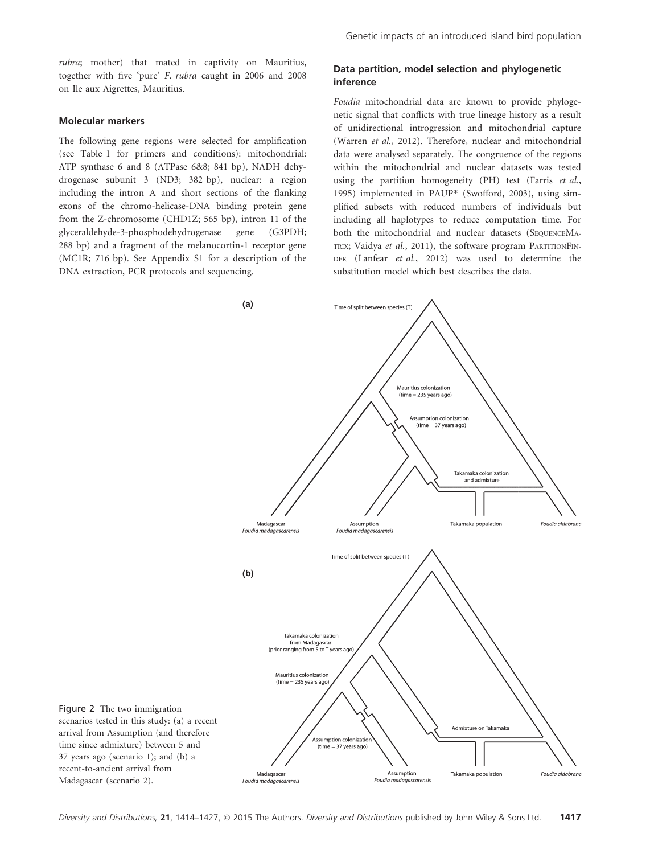*rubra*; mother) that mated in captivity on Mauritius, together with five 'pure' *F. rubra* caught in 2006 and 2008 on Ile aux Aigrettes, Mauritius.

#### Molecular markers

The following gene regions were selected for amplification (see Table 1 for primers and conditions): mitochondrial: ATP synthase 6 and 8 (ATPase 6&8; 841 bp), NADH dehydrogenase subunit 3 (ND3; 382 bp), nuclear: a region including the intron A and short sections of the flanking exons of the chromo-helicase-DNA binding protein gene from the Z-chromosome (CHD1Z; 565 bp), intron 11 of the glyceraldehyde-3-phosphodehydrogenase gene (G3PDH; 288 bp) and a fragment of the melanocortin-1 receptor gene (MC1R; 716 bp). See Appendix S1 for a description of the DNA extraction, PCR protocols and sequencing.

#### Data partition, model selection and phylogenetic inference

*Foudia* mitochondrial data are known to provide phylogenetic signal that conflicts with true lineage history as a result of unidirectional introgression and mitochondrial capture (Warren *et al.*, 2012). Therefore, nuclear and mitochondrial data were analysed separately. The congruence of the regions within the mitochondrial and nuclear datasets was tested using the partition homogeneity (PH) test (Farris *et al.*, 1995) implemented in PAUP\* (Swofford, 2003), using simplified subsets with reduced numbers of individuals but including all haplotypes to reduce computation time. For both the mitochondrial and nuclear datasets (SEQUENCEMA-TRIX; Vaidya et al., 2011), the software program PARTITIONFIN-DER (Lanfear *et al.*, 2012) was used to determine the substitution model which best describes the data.



Diversity and Distributions, 21, 1414-1427, @ 2015 The Authors. Diversity and Distributions published by John Wiley & Sons Ltd. 1417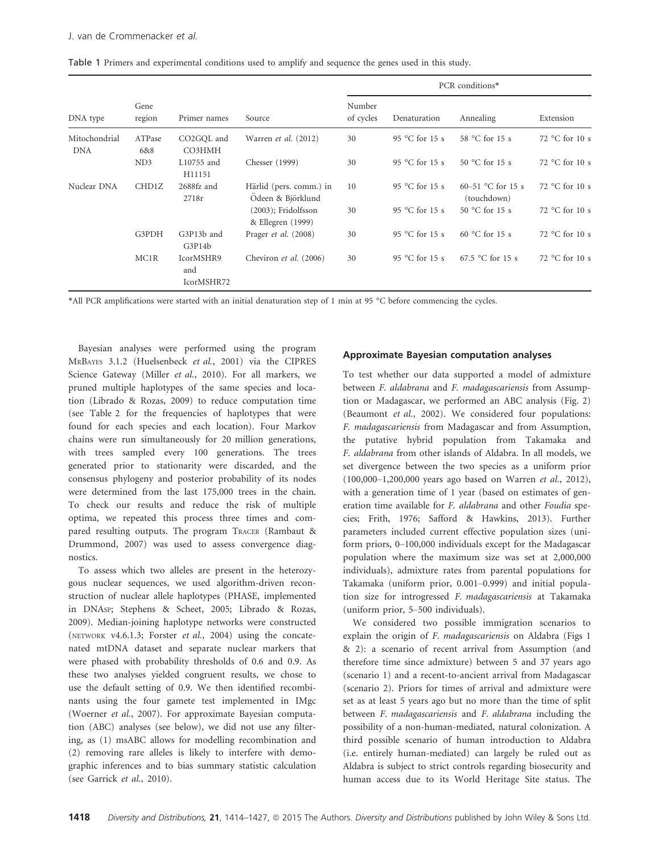|  |  | Table 1 Primers and experimental conditions used to amplify and sequence the genes used in this study. |  |  |  |  |  |  |  |  |  |
|--|--|--------------------------------------------------------------------------------------------------------|--|--|--|--|--|--|--|--|--|
|--|--|--------------------------------------------------------------------------------------------------------|--|--|--|--|--|--|--|--|--|

|                             |                                |                                |                                              | PCR conditions*     |                |                                  |                |  |  |
|-----------------------------|--------------------------------|--------------------------------|----------------------------------------------|---------------------|----------------|----------------------------------|----------------|--|--|
| DNA type                    | Gene<br>region<br>Primer names |                                | Source                                       | Number<br>of cycles | Denaturation   | Annealing                        | Extension      |  |  |
| Mitochondrial<br><b>DNA</b> | ATPase<br>6&8                  | CO2GOL and<br>CO3HMH           | Warren et al. (2012)                         | 30                  | 95 °C for 15 s | 58 °C for 15 s                   | 72 °C for 10 s |  |  |
|                             | ND3                            | L10755 and<br>H11151           | Chesser (1999)                               | 30                  | 95 °C for 15 s | $50^{\circ}$ C for 15 s          | 72 °C for 10 s |  |  |
| Nuclear DNA                 | CHD1Z                          | 2688fz and<br>2718r            | Härlid (pers. comm.) in<br>Ödeen & Björklund | 10                  | 95 °C for 15 s | 60–51 °C for 15 s<br>(touchdown) | 72 °C for 10 s |  |  |
|                             |                                |                                | (2003); Fridolfsson<br>& Ellegren (1999)     | 30                  | 95 °C for 15 s | 50 °C for 15 s                   | 72 °C for 10 s |  |  |
|                             | G3PDH                          | G3P13b and<br>G3P14b           | Prager <i>et al.</i> (2008)                  | 30                  | 95 °C for 15 s | 60 °C for 15 s                   | 72 °C for 10 s |  |  |
|                             | <b>MC1R</b>                    | IcorMSHR9<br>and<br>IcorMSHR72 | Cheviron et al. (2006)                       | 30                  | 95 °C for 15 s | $67.5 \text{ °C}$ for 15 s       | 72 °C for 10 s |  |  |

\*All PCR amplifications were started with an initial denaturation step of 1 min at 95 °C before commencing the cycles.

Bayesian analyses were performed using the program MRBAYES 3.1.2 (Huelsenbeck *et al.*, 2001) via the CIPRES Science Gateway (Miller *et al.*, 2010). For all markers, we pruned multiple haplotypes of the same species and location (Librado & Rozas, 2009) to reduce computation time (see Table 2 for the frequencies of haplotypes that were found for each species and each location). Four Markov chains were run simultaneously for 20 million generations, with trees sampled every 100 generations. The trees generated prior to stationarity were discarded, and the consensus phylogeny and posterior probability of its nodes were determined from the last 175,000 trees in the chain. To check our results and reduce the risk of multiple optima, we repeated this process three times and compared resulting outputs. The program TRACER (Rambaut & Drummond, 2007) was used to assess convergence diagnostics.

To assess which two alleles are present in the heterozygous nuclear sequences, we used algorithm-driven reconstruction of nuclear allele haplotypes (PHASE, implemented in DNASP; Stephens & Scheet, 2005; Librado & Rozas, 2009). Median-joining haplotype networks were constructed (NETWORK v4.6.1.3; Forster *et al.*, 2004) using the concatenated mtDNA dataset and separate nuclear markers that were phased with probability thresholds of 0.6 and 0.9. As these two analyses yielded congruent results, we chose to use the default setting of 0.9. We then identified recombinants using the four gamete test implemented in IMgc (Woerner *et al.*, 2007). For approximate Bayesian computation (ABC) analyses (see below), we did not use any filtering, as (1) msABC allows for modelling recombination and (2) removing rare alleles is likely to interfere with demographic inferences and to bias summary statistic calculation (see Garrick *et al.*, 2010).

#### Approximate Bayesian computation analyses

To test whether our data supported a model of admixture between *F. aldabrana* and *F. madagascariensis* from Assumption or Madagascar, we performed an ABC analysis (Fig. 2) (Beaumont *et al.*, 2002). We considered four populations: *F. madagascariensis* from Madagascar and from Assumption, the putative hybrid population from Takamaka and *F. aldabrana* from other islands of Aldabra. In all models, we set divergence between the two species as a uniform prior (100,000–1,200,000 years ago based on Warren *et al.*, 2012), with a generation time of 1 year (based on estimates of generation time available for *F. aldabrana* and other *Foudia* species; Frith, 1976; Safford & Hawkins, 2013). Further parameters included current effective population sizes (uniform priors, 0–100,000 individuals except for the Madagascar population where the maximum size was set at 2,000,000 individuals), admixture rates from parental populations for Takamaka (uniform prior, 0.001–0.999) and initial population size for introgressed *F. madagascariensis* at Takamaka (uniform prior, 5–500 individuals).

We considered two possible immigration scenarios to explain the origin of *F. madagascariensis* on Aldabra (Figs 1 & 2): a scenario of recent arrival from Assumption (and therefore time since admixture) between 5 and 37 years ago (scenario 1) and a recent-to-ancient arrival from Madagascar (scenario 2). Priors for times of arrival and admixture were set as at least 5 years ago but no more than the time of split between *F. madagascariensis* and *F. aldabrana* including the possibility of a non-human-mediated, natural colonization. A third possible scenario of human introduction to Aldabra (i.e. entirely human-mediated) can largely be ruled out as Aldabra is subject to strict controls regarding biosecurity and human access due to its World Heritage Site status. The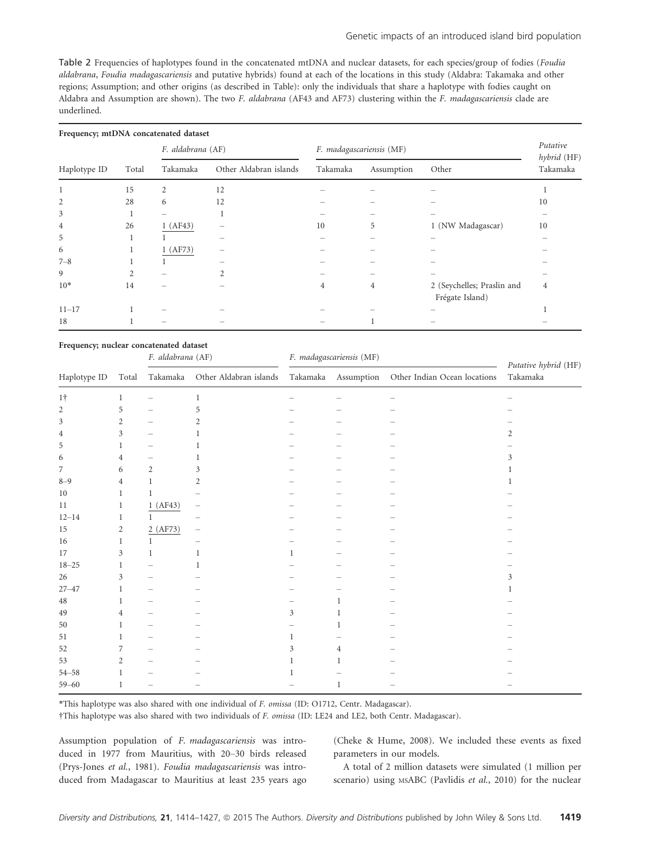Table 2 Frequencies of haplotypes found in the concatenated mtDNA and nuclear datasets, for each species/group of fodies (*Foudia aldabrana*, *Foudia madagascariensis* and putative hybrids) found at each of the locations in this study (Aldabra: Takamaka and other regions; Assumption; and other origins (as described in Table): only the individuals that share a haplotype with fodies caught on Aldabra and Assumption are shown). The two *F. aldabrana* (AF43 and AF73) clustering within the *F. madagascariensis* clade are underlined.

| Frequency; mtDNA concatenated dataset |                |                   |                        |                          |                         |                                               |                |  |  |
|---------------------------------------|----------------|-------------------|------------------------|--------------------------|-------------------------|-----------------------------------------------|----------------|--|--|
|                                       |                | F. aldabrana (AF) |                        | F. madagascariensis (MF) | Putative<br>hybrid (HF) |                                               |                |  |  |
| Haplotype ID                          | Total          | Takamaka          | Other Aldabran islands | Takamaka                 | Assumption              | Other                                         | Takamaka       |  |  |
|                                       | 15             | 2                 | 12                     |                          |                         |                                               |                |  |  |
| 2                                     | 28             | 6                 | 12                     |                          |                         |                                               | 10             |  |  |
| 3                                     |                |                   | 1                      |                          |                         |                                               |                |  |  |
| $\overline{4}$                        | 26             | 1(AF43)           |                        | 10                       | 5                       | 1 (NW Madagascar)                             | 10             |  |  |
| 5                                     |                |                   |                        |                          |                         |                                               |                |  |  |
| 6                                     |                | 1(AF73)           |                        |                          |                         |                                               |                |  |  |
| $7 - 8$                               |                |                   |                        |                          |                         |                                               |                |  |  |
| 9                                     | $\overline{2}$ |                   | 2                      |                          |                         |                                               |                |  |  |
| $10*$                                 | 14             |                   |                        | 4                        | 4                       | 2 (Seychelles; Praslin and<br>Frégate Island) | $\overline{4}$ |  |  |
| $11 - 17$                             |                |                   |                        |                          |                         |                                               | J.             |  |  |
| 18                                    | J.             |                   |                        |                          |                         |                                               |                |  |  |

| Frequency; nuclear concatenated dataset |                |                          |                        |                          |                      |                              |          |  |  |
|-----------------------------------------|----------------|--------------------------|------------------------|--------------------------|----------------------|------------------------------|----------|--|--|
|                                         |                | F. aldabrana (AF)        |                        | F. madagascariensis (MF) | Putative hybrid (HF) |                              |          |  |  |
| Haplotype ID                            | Total          | Takamaka                 | Other Aldabran islands | Takamaka                 | Assumption           | Other Indian Ocean locations | Takamaka |  |  |
| $1\dagger$                              | 1              |                          | 1                      |                          |                      |                              |          |  |  |
| $\overline{c}$                          | 5              |                          | 5                      |                          |                      |                              |          |  |  |
| 3                                       | $\overline{2}$ |                          | 2                      |                          |                      |                              |          |  |  |
| $\overline{4}$                          | 3              | $\overline{\phantom{0}}$ |                        |                          |                      |                              | 2        |  |  |
| 5                                       |                | -                        |                        |                          |                      |                              |          |  |  |
| 6                                       | $\overline{4}$ | -                        |                        |                          |                      |                              | 3        |  |  |
| 7                                       | 6              | $\sqrt{2}$               | 3                      |                          |                      |                              |          |  |  |
| $8 - 9$                                 | $\overline{4}$ | $\mathbf{1}$             | $\mathbf{2}$           |                          |                      |                              |          |  |  |
| $10\,$                                  | 1              | 1                        |                        |                          |                      |                              |          |  |  |
| $11\,$                                  | 1              | 1(AF43)                  |                        |                          |                      |                              |          |  |  |
| $12 - 14$                               | 1              | 1                        |                        |                          |                      |                              |          |  |  |
| 15                                      | 2              | 2 (AF73)                 |                        |                          |                      |                              |          |  |  |
| 16                                      | 1              | 1                        |                        |                          |                      |                              |          |  |  |
| 17                                      | 3              | $\mathbf{1}$             | 1                      | $\mathbf{1}$             |                      |                              |          |  |  |
| $18 - 25$                               | 1              | -                        | 1                      |                          |                      |                              |          |  |  |
| 26                                      | 3              |                          |                        |                          |                      |                              | 3        |  |  |
| $27 - 47$                               | 1              |                          |                        |                          |                      |                              |          |  |  |
| $48\,$                                  | 1              |                          |                        |                          | 1                    |                              |          |  |  |
| 49                                      | $\overline{4}$ |                          |                        | 3                        | 1                    |                              |          |  |  |
| 50                                      | $\mathbf{1}$   |                          |                        |                          | 1                    |                              |          |  |  |
| 51                                      | 1              |                          |                        | 1                        |                      |                              |          |  |  |
| 52                                      | 7              |                          |                        | 3                        | $\overline{4}$       |                              |          |  |  |
| 53                                      | $\overline{2}$ | $\overline{\phantom{0}}$ |                        | $\mathbf{1}$             | $\mathbf{1}$         |                              |          |  |  |
| $54 - 58$                               | $\mathbf{1}$   |                          |                        | 1                        |                      |                              |          |  |  |
| $59 - 60$                               | 1              |                          |                        |                          | $\mathbf{1}$         |                              |          |  |  |

\*This haplotype was also shared with one individual of *F. omissa* (ID: O1712, Centr. Madagascar).

†This haplotype was also shared with two individuals of *F. omissa* (ID: LE24 and LE2, both Centr. Madagascar).

Assumption population of *F. madagascariensis* was introduced in 1977 from Mauritius, with 20–30 birds released (Prys-Jones *et al.*, 1981). *Foudia madagascariensis* was introduced from Madagascar to Mauritius at least 235 years ago (Cheke & Hume, 2008). We included these events as fixed parameters in our models.

A total of 2 million datasets were simulated (1 million per scenario) using MSABC (Pavlidis *et al.*, 2010) for the nuclear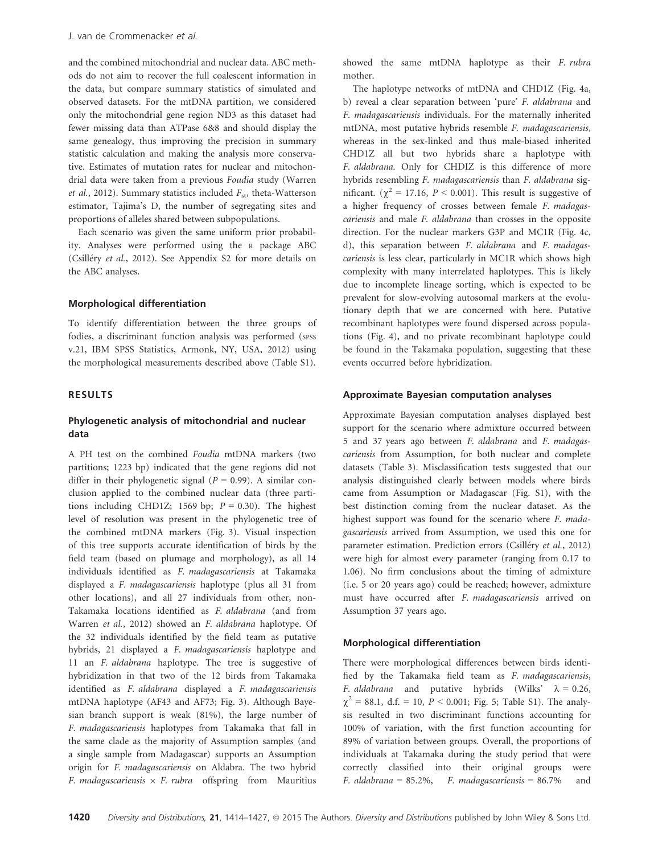and the combined mitochondrial and nuclear data. ABC methods do not aim to recover the full coalescent information in the data, but compare summary statistics of simulated and observed datasets. For the mtDNA partition, we considered only the mitochondrial gene region ND3 as this dataset had fewer missing data than ATPase 6&8 and should display the same genealogy, thus improving the precision in summary statistic calculation and making the analysis more conservative. Estimates of mutation rates for nuclear and mitochondrial data were taken from a previous *Foudia* study (Warren *et al.*, 2012). Summary statistics included  $F<sub>st</sub>$ , theta-Watterson estimator, Tajima's D, the number of segregating sites and proportions of alleles shared between subpopulations.

Each scenario was given the same uniform prior probability. Analyses were performed using the <sup>R</sup> package ABC (Csillery *et al.*, 2012). See Appendix S2 for more details on the ABC analyses.

#### Morphological differentiation

To identify differentiation between the three groups of fodies, a discriminant function analysis was performed (spss v.21, IBM SPSS Statistics, Armonk, NY, USA, 2012) using the morphological measurements described above (Table S1).

#### RESULTS

#### Phylogenetic analysis of mitochondrial and nuclear data

A PH test on the combined *Foudia* mtDNA markers (two partitions; 1223 bp) indicated that the gene regions did not differ in their phylogenetic signal  $(P = 0.99)$ . A similar conclusion applied to the combined nuclear data (three partitions including CHD1Z; 1569 bp;  $P = 0.30$ ). The highest level of resolution was present in the phylogenetic tree of the combined mtDNA markers (Fig. 3). Visual inspection of this tree supports accurate identification of birds by the field team (based on plumage and morphology), as all 14 individuals identified as *F. madagascariensis* at Takamaka displayed a *F. madagascariensis* haplotype (plus all 31 from other locations), and all 27 individuals from other, non-Takamaka locations identified as *F. aldabrana* (and from Warren *et al.*, 2012) showed an *F. aldabrana* haplotype. Of the 32 individuals identified by the field team as putative hybrids, 21 displayed a *F. madagascariensis* haplotype and 11 an *F. aldabrana* haplotype. The tree is suggestive of hybridization in that two of the 12 birds from Takamaka identified as *F. aldabrana* displayed a *F. madagascariensis* mtDNA haplotype (AF43 and AF73; Fig. 3). Although Bayesian branch support is weak (81%), the large number of *F. madagascariensis* haplotypes from Takamaka that fall in the same clade as the majority of Assumption samples (and a single sample from Madagascar) supports an Assumption origin for *F. madagascariensis* on Aldabra. The two hybrid *F. madagascariensis*  $\times$  *F. rubra* offspring from Mauritius

showed the same mtDNA haplotype as their *F. rubra* mother.

The haplotype networks of mtDNA and CHD1Z (Fig. 4a, b) reveal a clear separation between 'pure' *F. aldabrana* and *F. madagascariensis* individuals. For the maternally inherited mtDNA, most putative hybrids resemble *F. madagascariensis*, whereas in the sex-linked and thus male-biased inherited CHD1Z all but two hybrids share a haplotype with *F. aldabrana.* Only for CHDIZ is this difference of more hybrids resembling *F. madagascariensis* than *F. aldabrana* significant. ( $\chi^2$  = 17.16, *P* < 0.001). This result is suggestive of a higher frequency of crosses between female *F. madagascariensis* and male *F. aldabrana* than crosses in the opposite direction. For the nuclear markers G3P and MC1R (Fig. 4c, d), this separation between *F. aldabrana* and *F. madagascariensis* is less clear, particularly in MC1R which shows high complexity with many interrelated haplotypes. This is likely due to incomplete lineage sorting, which is expected to be prevalent for slow-evolving autosomal markers at the evolutionary depth that we are concerned with here. Putative recombinant haplotypes were found dispersed across populations (Fig. 4), and no private recombinant haplotype could be found in the Takamaka population, suggesting that these events occurred before hybridization.

#### Approximate Bayesian computation analyses

Approximate Bayesian computation analyses displayed best support for the scenario where admixture occurred between 5 and 37 years ago between *F. aldabrana* and *F. madagascariensis* from Assumption, for both nuclear and complete datasets (Table 3). Misclassification tests suggested that our analysis distinguished clearly between models where birds came from Assumption or Madagascar (Fig. S1), with the best distinction coming from the nuclear dataset. As the highest support was found for the scenario where *F. madagascariensis* arrived from Assumption, we used this one for parameter estimation. Prediction errors (Csilléry et al., 2012) were high for almost every parameter (ranging from 0.17 to 1.06). No firm conclusions about the timing of admixture (i.e. 5 or 20 years ago) could be reached; however, admixture must have occurred after *F. madagascariensis* arrived on Assumption 37 years ago.

#### Morphological differentiation

There were morphological differences between birds identified by the Takamaka field team as *F. madagascariensis*, *F. aldabrana* and putative hybrids (Wilks'  $\lambda = 0.26$ ,  $\chi^2 = 88.1$ , d.f. = 10, *P* < 0.001; Fig. 5; Table S1). The analysis resulted in two discriminant functions accounting for 100% of variation, with the first function accounting for 89% of variation between groups. Overall, the proportions of individuals at Takamaka during the study period that were correctly classified into their original groups were *F. aldabrana* = 85.2%, *F. madagascariensis* = 86.7% and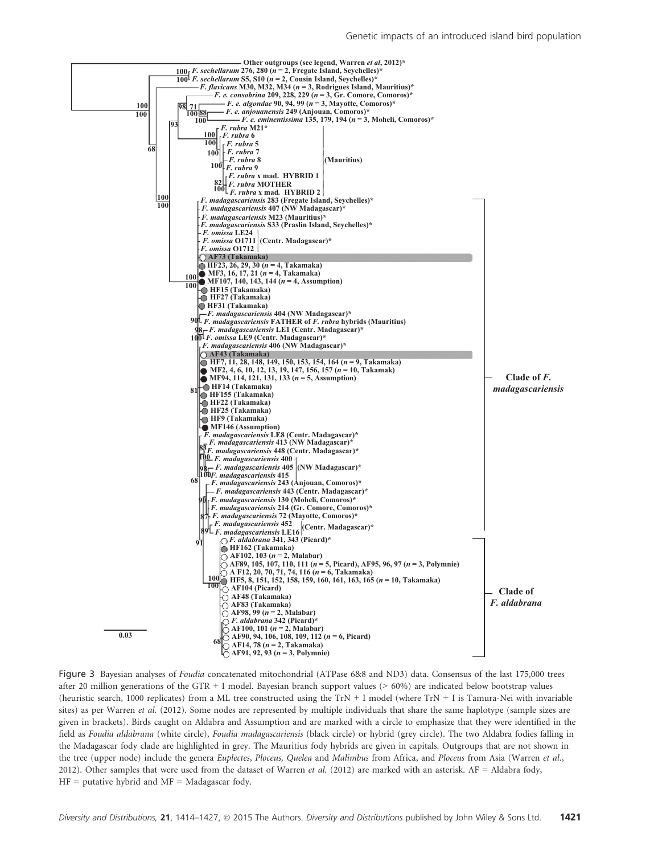

Figure 3 Bayesian analyses of *Foudia* concatenated mitochondrial (ATPase 6&8 and ND3) data. Consensus of the last 175,000 trees after 20 million generations of the GTR + I model. Bayesian branch support values ( $> 60\%$ ) are indicated below bootstrap values (heuristic search, 1000 replicates) from a ML tree constructed using the TrN + I model (where TrN + I is Tamura-Nei with invariable sites) as per Warren *et al.* (2012). Some nodes are represented by multiple individuals that share the same haplotype (sample sizes are given in brackets). Birds caught on Aldabra and Assumption and are marked with a circle to emphasize that they were identified in the field as *Foudia aldabrana* (white circle), *Foudia madagascariensis* (black circle) or hybrid (grey circle). The two Aldabra fodies falling in the Madagascar fody clade are highlighted in grey. The Mauritius fody hybrids are given in capitals. Outgroups that are not shown in the tree (upper node) include the genera *Euplectes*, *Ploceus, Quelea* and *Malimbus* from Africa, and *Ploceus* from Asia (Warren *et al.*, 2012). Other samples that were used from the dataset of Warren *et al.* (2012) are marked with an asterisk. AF = Aldabra fody,  $HF = putative hybrid and MF = Madagascar fody.$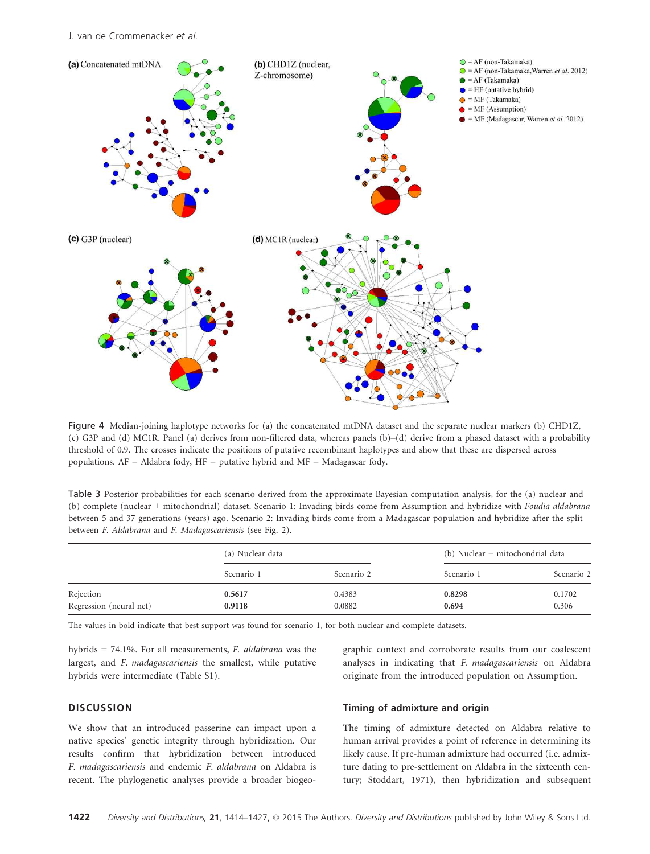J. van de Crommenacker et al.



Figure 4 Median-joining haplotype networks for (a) the concatenated mtDNA dataset and the separate nuclear markers (b) CHD1Z, (c) G3P and (d) MC1R. Panel (a) derives from non-filtered data, whereas panels (b)–(d) derive from a phased dataset with a probability threshold of 0.9. The crosses indicate the positions of putative recombinant haplotypes and show that these are dispersed across populations.  $AF = Aldabra$  fody,  $HF = putative$  hybrid and  $MF = Madagascar$  fody.

Table 3 Posterior probabilities for each scenario derived from the approximate Bayesian computation analysis, for the (a) nuclear and (b) complete (nuclear + mitochondrial) dataset. Scenario 1: Invading birds come from Assumption and hybridize with *Foudia aldabrana* between 5 and 37 generations (years) ago. Scenario 2: Invading birds come from a Madagascar population and hybridize after the split between *F. Aldabrana* and *F. Madagascariensis* (see Fig. 2).

|                         | (a) Nuclear data |            |            | (b) Nuclear + mitochondrial data |  |
|-------------------------|------------------|------------|------------|----------------------------------|--|
|                         | Scenario 1       | Scenario 2 | Scenario 1 | Scenario 2                       |  |
| Rejection               | 0.5617           | 0.4383     | 0.8298     | 0.1702                           |  |
| Regression (neural net) | 0.9118           | 0.0882     | 0.694      | 0.306                            |  |

The values in bold indicate that best support was found for scenario 1, for both nuclear and complete datasets.

hybrids = 74.1%. For all measurements, *F. aldabrana* was the largest, and *F. madagascariensis* the smallest, while putative hybrids were intermediate (Table S1).

**DISCUSSION** 

We show that an introduced passerine can impact upon a native species' genetic integrity through hybridization. Our results confirm that hybridization between introduced *F. madagascariensis* and endemic *F. aldabrana* on Aldabra is recent. The phylogenetic analyses provide a broader biogeographic context and corroborate results from our coalescent analyses in indicating that *F. madagascariensis* on Aldabra originate from the introduced population on Assumption.

#### Timing of admixture and origin

The timing of admixture detected on Aldabra relative to human arrival provides a point of reference in determining its likely cause. If pre-human admixture had occurred (i.e. admixture dating to pre-settlement on Aldabra in the sixteenth century; Stoddart, 1971), then hybridization and subsequent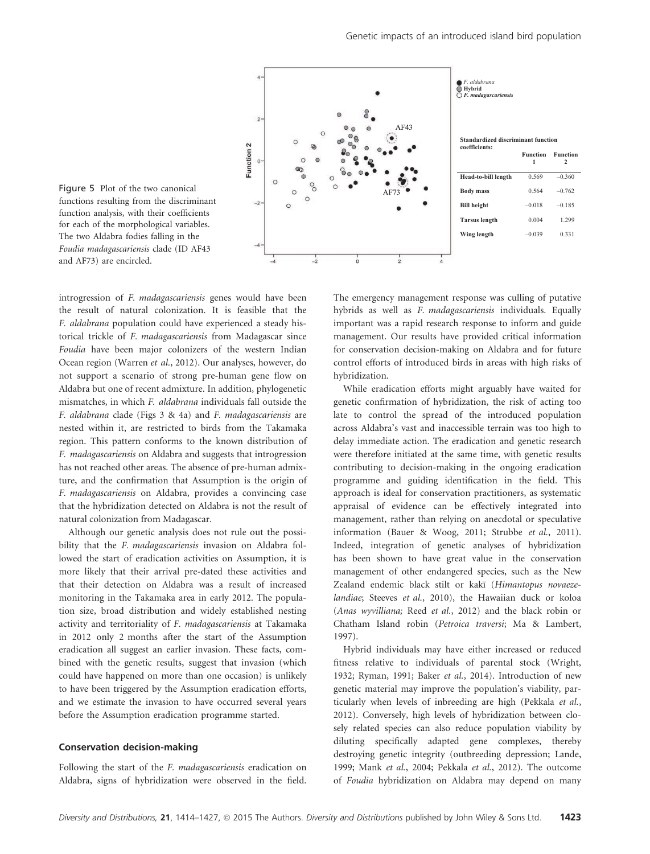



introgression of *F. madagascariensis* genes would have been the result of natural colonization. It is feasible that the *F. aldabrana* population could have experienced a steady historical trickle of *F. madagascariensis* from Madagascar since *Foudia* have been major colonizers of the western Indian Ocean region (Warren *et al.*, 2012). Our analyses, however, do not support a scenario of strong pre-human gene flow on Aldabra but one of recent admixture. In addition, phylogenetic mismatches, in which *F. aldabrana* individuals fall outside the *F. aldabrana* clade (Figs 3 & 4a) and *F. madagascariensis* are nested within it, are restricted to birds from the Takamaka region. This pattern conforms to the known distribution of *F. madagascariensis* on Aldabra and suggests that introgression has not reached other areas. The absence of pre-human admixture, and the confirmation that Assumption is the origin of *F. madagascariensis* on Aldabra, provides a convincing case that the hybridization detected on Aldabra is not the result of natural colonization from Madagascar.

Although our genetic analysis does not rule out the possibility that the *F. madagascariensis* invasion on Aldabra followed the start of eradication activities on Assumption, it is more likely that their arrival pre-dated these activities and that their detection on Aldabra was a result of increased monitoring in the Takamaka area in early 2012. The population size, broad distribution and widely established nesting activity and territoriality of *F. madagascariensis* at Takamaka in 2012 only 2 months after the start of the Assumption eradication all suggest an earlier invasion. These facts, combined with the genetic results, suggest that invasion (which could have happened on more than one occasion) is unlikely to have been triggered by the Assumption eradication efforts, and we estimate the invasion to have occurred several years before the Assumption eradication programme started.

#### Conservation decision-making

Following the start of the *F. madagascariensis* eradication on Aldabra, signs of hybridization were observed in the field.

The emergency management response was culling of putative hybrids as well as *F. madagascariensis* individuals. Equally important was a rapid research response to inform and guide management. Our results have provided critical information for conservation decision-making on Aldabra and for future control efforts of introduced birds in areas with high risks of hybridization.

While eradication efforts might arguably have waited for genetic confirmation of hybridization, the risk of acting too late to control the spread of the introduced population across Aldabra's vast and inaccessible terrain was too high to delay immediate action. The eradication and genetic research were therefore initiated at the same time, with genetic results contributing to decision-making in the ongoing eradication programme and guiding identification in the field. This approach is ideal for conservation practitioners, as systematic appraisal of evidence can be effectively integrated into management, rather than relying on anecdotal or speculative information (Bauer & Woog, 2011; Strubbe *et al.*, 2011). Indeed, integration of genetic analyses of hybridization has been shown to have great value in the conservation management of other endangered species, such as the New Zealand endemic black stilt or kakı (*Himantopus novaezelandiae*; Steeves *et al.*, 2010), the Hawaiian duck or koloa (*Anas wyvilliana;* Reed *et al.*, 2012) and the black robin or Chatham Island robin (*Petroica traversi*; Ma & Lambert, 1997).

Hybrid individuals may have either increased or reduced fitness relative to individuals of parental stock (Wright, 1932; Ryman, 1991; Baker *et al.*, 2014). Introduction of new genetic material may improve the population's viability, particularly when levels of inbreeding are high (Pekkala *et al.*, 2012). Conversely, high levels of hybridization between closely related species can also reduce population viability by diluting specifically adapted gene complexes, thereby destroying genetic integrity (outbreeding depression; Lande, 1999; Mank *et al.*, 2004; Pekkala *et al.*, 2012). The outcome of *Foudia* hybridization on Aldabra may depend on many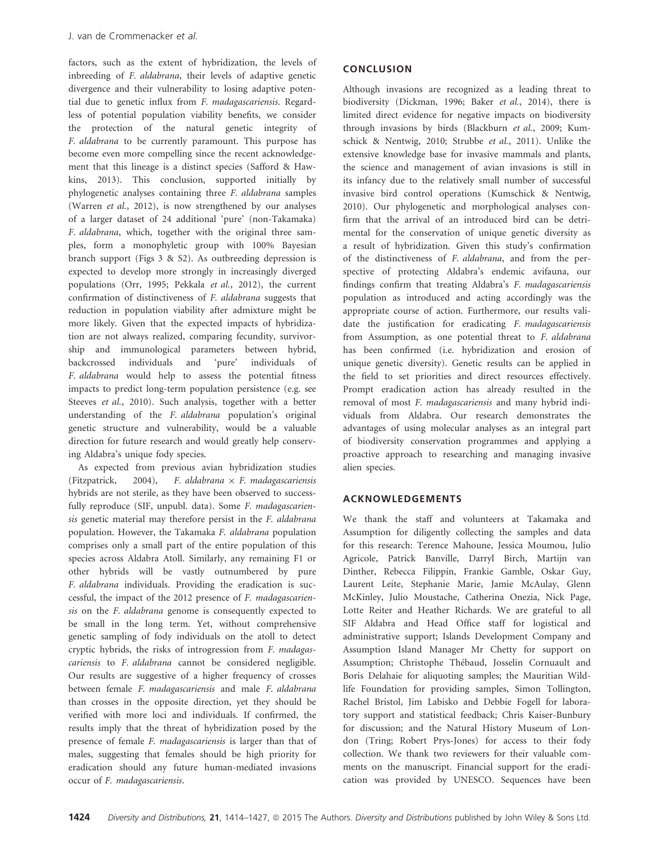factors, such as the extent of hybridization, the levels of inbreeding of *F. aldabrana*, their levels of adaptive genetic divergence and their vulnerability to losing adaptive potential due to genetic influx from *F. madagascariensis*. Regardless of potential population viability benefits, we consider the protection of the natural genetic integrity of *F. aldabrana* to be currently paramount. This purpose has become even more compelling since the recent acknowledgement that this lineage is a distinct species (Safford & Hawkins, 2013). This conclusion, supported initially by phylogenetic analyses containing three *F. aldabrana* samples (Warren *et al.*, 2012), is now strengthened by our analyses of a larger dataset of 24 additional 'pure' (non-Takamaka) *F. aldabrana*, which, together with the original three samples, form a monophyletic group with 100% Bayesian branch support (Figs 3 & S2). As outbreeding depression is expected to develop more strongly in increasingly diverged populations (Orr, 1995; Pekkala *et al.*, 2012), the current confirmation of distinctiveness of *F. aldabrana* suggests that reduction in population viability after admixture might be more likely. Given that the expected impacts of hybridization are not always realized, comparing fecundity, survivorship and immunological parameters between hybrid, backcrossed individuals and 'pure' individuals of *F. aldabrana* would help to assess the potential fitness impacts to predict long-term population persistence (e.g. see Steeves *et al.*, 2010). Such analysis, together with a better understanding of the *F. aldabrana* population's original genetic structure and vulnerability, would be a valuable direction for future research and would greatly help conserving Aldabra's unique fody species.

As expected from previous avian hybridization studies (Fitzpatrick, 2004), *F. aldabrana* × *F. madagascariensis* hybrids are not sterile, as they have been observed to successfully reproduce (SIF, unpubl. data). Some *F. madagascariensis* genetic material may therefore persist in the *F. aldabrana* population. However, the Takamaka *F. aldabrana* population comprises only a small part of the entire population of this species across Aldabra Atoll. Similarly, any remaining F1 or other hybrids will be vastly outnumbered by pure *F. aldabrana* individuals. Providing the eradication is successful, the impact of the 2012 presence of *F. madagascariensis* on the *F. aldabrana* genome is consequently expected to be small in the long term. Yet, without comprehensive genetic sampling of fody individuals on the atoll to detect cryptic hybrids, the risks of introgression from *F. madagascariensis* to *F. aldabrana* cannot be considered negligible. Our results are suggestive of a higher frequency of crosses between female *F. madagascariensis* and male *F. aldabrana* than crosses in the opposite direction, yet they should be verified with more loci and individuals. If confirmed, the results imply that the threat of hybridization posed by the presence of female *F. madagascariensis* is larger than that of males, suggesting that females should be high priority for eradication should any future human-mediated invasions occur of *F. madagascariensis*.

#### **CONCLUSION**

Although invasions are recognized as a leading threat to biodiversity (Dickman, 1996; Baker *et al.*, 2014), there is limited direct evidence for negative impacts on biodiversity through invasions by birds (Blackburn *et al.*, 2009; Kumschick & Nentwig, 2010; Strubbe *et al.*, 2011). Unlike the extensive knowledge base for invasive mammals and plants, the science and management of avian invasions is still in its infancy due to the relatively small number of successful invasive bird control operations (Kumschick & Nentwig, 2010). Our phylogenetic and morphological analyses confirm that the arrival of an introduced bird can be detrimental for the conservation of unique genetic diversity as a result of hybridization. Given this study's confirmation of the distinctiveness of *F. aldabrana*, and from the perspective of protecting Aldabra's endemic avifauna, our findings confirm that treating Aldabra's *F. madagascariensis* population as introduced and acting accordingly was the appropriate course of action. Furthermore, our results validate the justification for eradicating *F. madagascariensis* from Assumption, as one potential threat to *F. aldabrana* has been confirmed (i.e. hybridization and erosion of unique genetic diversity). Genetic results can be applied in the field to set priorities and direct resources effectively. Prompt eradication action has already resulted in the removal of most *F. madagascariensis* and many hybrid individuals from Aldabra. Our research demonstrates the advantages of using molecular analyses as an integral part of biodiversity conservation programmes and applying a proactive approach to researching and managing invasive alien species.

#### ACKNOWLEDGEMENTS

We thank the staff and volunteers at Takamaka and Assumption for diligently collecting the samples and data for this research: Terence Mahoune, Jessica Moumou, Julio Agricole, Patrick Banville, Darryl Birch, Martijn van Dinther, Rebecca Filippin, Frankie Gamble, Oskar Guy, Laurent Leite, Stephanie Marie, Jamie McAulay, Glenn McKinley, Julio Moustache, Catherina Onezia, Nick Page, Lotte Reiter and Heather Richards. We are grateful to all SIF Aldabra and Head Office staff for logistical and administrative support; Islands Development Company and Assumption Island Manager Mr Chetty for support on Assumption; Christophe Thebaud, Josselin Cornuault and Boris Delahaie for aliquoting samples; the Mauritian Wildlife Foundation for providing samples, Simon Tollington, Rachel Bristol, Jim Labisko and Debbie Fogell for laboratory support and statistical feedback; Chris Kaiser-Bunbury for discussion; and the Natural History Museum of London (Tring; Robert Prys-Jones) for access to their fody collection. We thank two reviewers for their valuable comments on the manuscript. Financial support for the eradication was provided by UNESCO. Sequences have been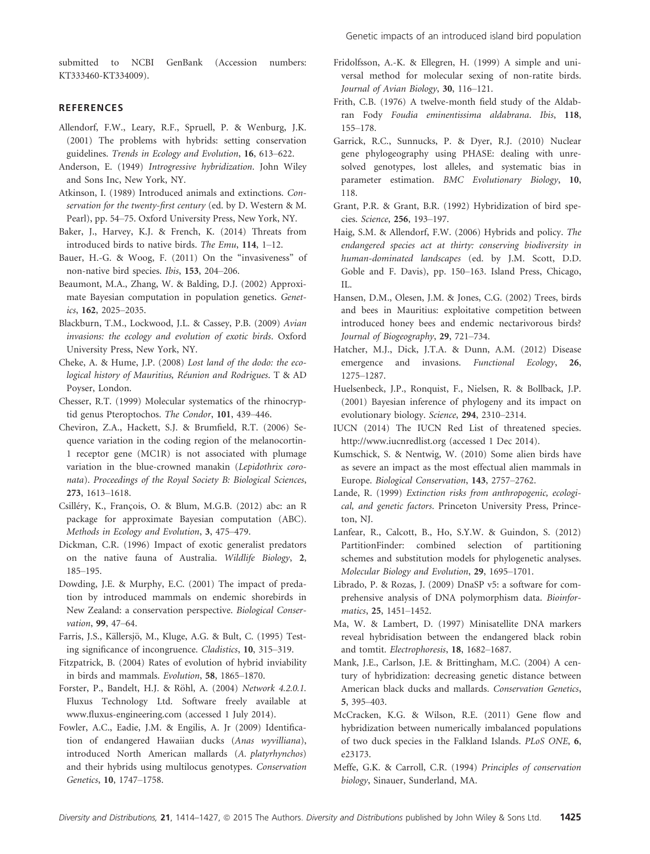submitted to NCBI GenBank (Accession numbers: KT333460-KT334009).

#### **REFERENCES**

- Allendorf, F.W., Leary, R.F., Spruell, P. & Wenburg, J.K. (2001) The problems with hybrids: setting conservation guidelines. *Trends in Ecology and Evolution*, 16, 613–622.
- Anderson, E. (1949) *Introgressive hybridization*. John Wiley and Sons Inc, New York, NY.
- Atkinson, I. (1989) Introduced animals and extinctions. *Conservation for the twenty-first century* (ed. by D. Western & M. Pearl), pp. 54–75. Oxford University Press, New York, NY.
- Baker, J., Harvey, K.J. & French, K. (2014) Threats from introduced birds to native birds. *The Emu*, 114, 1–12.
- Bauer, H.-G. & Woog, F. (2011) On the "invasiveness" of non-native bird species. *Ibis*, 153, 204–206.
- Beaumont, M.A., Zhang, W. & Balding, D.J. (2002) Approximate Bayesian computation in population genetics. *Genetics*, 162, 2025–2035.
- Blackburn, T.M., Lockwood, J.L. & Cassey, P.B. (2009) *Avian invasions: the ecology and evolution of exotic birds*. Oxford University Press, New York, NY.
- Cheke, A. & Hume, J.P. (2008) *Lost land of the dodo: the ecological history of Mauritius, Reunion and Rodrigues*. T & AD Poyser, London.
- Chesser, R.T. (1999) Molecular systematics of the rhinocryptid genus Pteroptochos. *The Condor*, 101, 439–446.
- Cheviron, Z.A., Hackett, S.J. & Brumfield, R.T. (2006) Sequence variation in the coding region of the melanocortin-1 receptor gene (MC1R) is not associated with plumage variation in the blue-crowned manakin (*Lepidothrix coronata*). *Proceedings of the Royal Society B: Biological Sciences*, 273, 1613–1618.
- Csillery, K., Francois, O. & Blum, M.G.B. (2012) abc: an R package for approximate Bayesian computation (ABC). *Methods in Ecology and Evolution*, 3, 475–479.
- Dickman, C.R. (1996) Impact of exotic generalist predators on the native fauna of Australia. *Wildlife Biology*, 2, 185–195.
- Dowding, J.E. & Murphy, E.C. (2001) The impact of predation by introduced mammals on endemic shorebirds in New Zealand: a conservation perspective. *Biological Conservation*, 99, 47–64.
- Farris, J.S., Källersjö, M., Kluge, A.G. & Bult, C. (1995) Testing significance of incongruence. *Cladistics*, 10, 315–319.
- Fitzpatrick, B. (2004) Rates of evolution of hybrid inviability in birds and mammals. *Evolution*, 58, 1865–1870.
- Forster, P., Bandelt, H.J. & Röhl, A. (2004) Network 4.2.0.1. Fluxus Technology Ltd. Software freely available at [www.fluxus-engineering.com](http://www.fluxus-engineering.com) (accessed 1 July 2014).
- Fowler, A.C., Eadie, J.M. & Engilis, A. Jr (2009) Identification of endangered Hawaiian ducks (*Anas wyvilliana*), introduced North American mallards (*A. platyrhynchos*) and their hybrids using multilocus genotypes. *Conservation Genetics*, 10, 1747–1758.
- Fridolfsson, A.-K. & Ellegren, H. (1999) A simple and universal method for molecular sexing of non-ratite birds. *Journal of Avian Biology*, 30, 116–121.
- Frith, C.B. (1976) A twelve-month field study of the Aldabran Fody *Foudia eminentissima aldabrana*. *Ibis*, 118, 155–178.
- Garrick, R.C., Sunnucks, P. & Dyer, R.J. (2010) Nuclear gene phylogeography using PHASE: dealing with unresolved genotypes, lost alleles, and systematic bias in parameter estimation. *BMC Evolutionary Biology*, 10, 118.
- Grant, P.R. & Grant, B.R. (1992) Hybridization of bird species. *Science*, 256, 193–197.
- Haig, S.M. & Allendorf, F.W. (2006) Hybrids and policy. *The endangered species act at thirty: conserving biodiversity in human-dominated landscapes* (ed. by J.M. Scott, D.D. Goble and F. Davis), pp. 150–163. Island Press, Chicago, IL.
- Hansen, D.M., Olesen, J.M. & Jones, C.G. (2002) Trees, birds and bees in Mauritius: exploitative competition between introduced honey bees and endemic nectarivorous birds? *Journal of Biogeography*, 29, 721–734.
- Hatcher, M.J., Dick, J.T.A. & Dunn, A.M. (2012) Disease emergence and invasions. *Functional Ecology*, 26, 1275–1287.
- Huelsenbeck, J.P., Ronquist, F., Nielsen, R. & Bollback, J.P. (2001) Bayesian inference of phylogeny and its impact on evolutionary biology. *Science*, 294, 2310–2314.
- IUCN (2014) The IUCN Red List of threatened species. <http://www.iucnredlist.org> (accessed 1 Dec 2014).
- Kumschick, S. & Nentwig, W. (2010) Some alien birds have as severe an impact as the most effectual alien mammals in Europe. *Biological Conservation*, 143, 2757–2762.
- Lande, R. (1999) *Extinction risks from anthropogenic, ecological, and genetic factors*. Princeton University Press, Princeton, NJ.
- Lanfear, R., Calcott, B., Ho, S.Y.W. & Guindon, S. (2012) PartitionFinder: combined selection of partitioning schemes and substitution models for phylogenetic analyses. *Molecular Biology and Evolution*, 29, 1695–1701.
- Librado, P. & Rozas, J. (2009) DnaSP v5: a software for comprehensive analysis of DNA polymorphism data. *Bioinformatics*, 25, 1451–1452.
- Ma, W. & Lambert, D. (1997) Minisatellite DNA markers reveal hybridisation between the endangered black robin and tomtit. *Electrophoresis*, 18, 1682–1687.
- Mank, J.E., Carlson, J.E. & Brittingham, M.C. (2004) A century of hybridization: decreasing genetic distance between American black ducks and mallards. *Conservation Genetics*, 5, 395–403.
- McCracken, K.G. & Wilson, R.E. (2011) Gene flow and hybridization between numerically imbalanced populations of two duck species in the Falkland Islands. *PLoS ONE*, 6, e23173.
- Meffe, G.K. & Carroll, C.R. (1994) *Principles of conservation biology*, Sinauer, Sunderland, MA.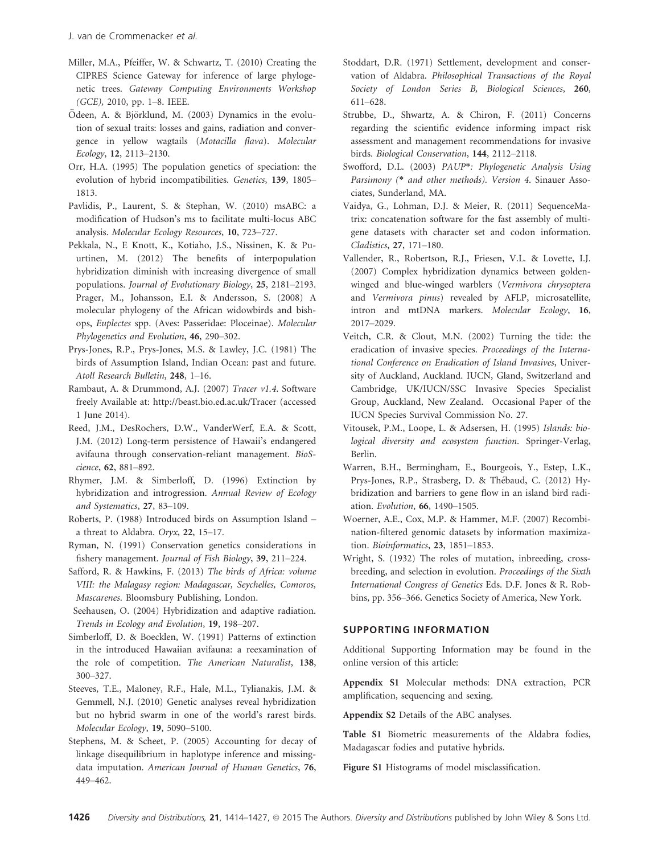J. van de Crommenacker et al.

- Miller, M.A., Pfeiffer, W. & Schwartz, T. (2010) Creating the CIPRES Science Gateway for inference of large phylogenetic trees. *Gateway Computing Environments Workshop (GCE),* 2010, pp. 1–8. IEEE.
- Ödeen, A. & Björklund, M. (2003) Dynamics in the evolution of sexual traits: losses and gains, radiation and convergence in yellow wagtails (*Motacilla flava*). *Molecular Ecology*, 12, 2113–2130.
- Orr, H.A. (1995) The population genetics of speciation: the evolution of hybrid incompatibilities. *Genetics*, 139, 1805– 1813.
- Pavlidis, P., Laurent, S. & Stephan, W. (2010) msABC: a modification of Hudson's ms to facilitate multi-locus ABC analysis. *Molecular Ecology Resources*, 10, 723–727.
- Pekkala, N., E Knott, K., Kotiaho, J.S., Nissinen, K. & Puurtinen, M. (2012) The benefits of interpopulation hybridization diminish with increasing divergence of small populations. *Journal of Evolutionary Biology*, 25, 2181–2193. Prager, M., Johansson, E.I. & Andersson, S. (2008) A molecular phylogeny of the African widowbirds and bishops, *Euplectes* spp. (Aves: Passeridae: Ploceinae). *Molecular Phylogenetics and Evolution*, 46, 290–302.
- Prys-Jones, R.P., Prys-Jones, M.S. & Lawley, J.C. (1981) The birds of Assumption Island, Indian Ocean: past and future. *Atoll Research Bulletin*, 248, 1–16.
- Rambaut, A. & Drummond, A.J. (2007) *Tracer v1.4*. Software freely Available at:<http://beast.bio.ed.ac.uk/Tracer> (accessed 1 June 2014).
- Reed, J.M., DesRochers, D.W., VanderWerf, E.A. & Scott, J.M. (2012) Long-term persistence of Hawaii's endangered avifauna through conservation-reliant management. *BioScience*, 62, 881–892.
- Rhymer, J.M. & Simberloff, D. (1996) Extinction by hybridization and introgression. *Annual Review of Ecology and Systematics*, 27, 83–109.
- Roberts, P. (1988) Introduced birds on Assumption Island a threat to Aldabra. *Oryx*, 22, 15–17.
- Ryman, N. (1991) Conservation genetics considerations in fishery management. *Journal of Fish Biology*, 39, 211–224.
- Safford, R. & Hawkins, F. (2013) *The birds of Africa: volume VIII: the Malagasy region: Madagascar, Seychelles, Comoros, Mascarenes*. Bloomsbury Publishing, London.

Seehausen, O. (2004) Hybridization and adaptive radiation. *Trends in Ecology and Evolution*, 19, 198–207.

- Simberloff, D. & Boecklen, W. (1991) Patterns of extinction in the introduced Hawaiian avifauna: a reexamination of the role of competition. *The American Naturalist*, 138, 300–327.
- Steeves, T.E., Maloney, R.F., Hale, M.L., Tylianakis, J.M. & Gemmell, N.J. (2010) Genetic analyses reveal hybridization but no hybrid swarm in one of the world's rarest birds. *Molecular Ecology*, 19, 5090–5100.
- Stephens, M. & Scheet, P. (2005) Accounting for decay of linkage disequilibrium in haplotype inference and missingdata imputation. *American Journal of Human Genetics*, 76, 449–462.
- Stoddart, D.R. (1971) Settlement, development and conservation of Aldabra. *Philosophical Transactions of the Royal Society of London Series B, Biological Sciences*, 260, 611–628.
- Strubbe, D., Shwartz, A. & Chiron, F. (2011) Concerns regarding the scientific evidence informing impact risk assessment and management recommendations for invasive birds. *Biological Conservation*, 144, 2112–2118.
- Swofford, D.L. (2003) *PAUP*\**: Phylogenetic Analysis Using Parsimony (*\* *and other methods). Version 4*. Sinauer Associates, Sunderland, MA.
- Vaidya, G., Lohman, D.J. & Meier, R. (2011) SequenceMatrix: concatenation software for the fast assembly of multigene datasets with character set and codon information. *Cladistics*, 27, 171–180.
- Vallender, R., Robertson, R.J., Friesen, V.L. & Lovette, I.J. (2007) Complex hybridization dynamics between goldenwinged and blue-winged warblers (*Vermivora chrysoptera* and *Vermivora pinus*) revealed by AFLP, microsatellite, intron and mtDNA markers. *Molecular Ecology*, 16, 2017–2029.
- Veitch, C.R. & Clout, M.N. (2002) Turning the tide: the eradication of invasive species. *Proceedings of the International Conference on Eradication of Island Invasives*, University of Auckland, Auckland. IUCN, Gland, Switzerland and Cambridge, UK/IUCN/SSC Invasive Species Specialist Group, Auckland, New Zealand. Occasional Paper of the IUCN Species Survival Commission No. 27.
- Vitousek, P.M., Loope, L. & Adsersen, H. (1995) *Islands: biological diversity and ecosystem function*. Springer-Verlag, Berlin.
- Warren, B.H., Bermingham, E., Bourgeois, Y., Estep, L.K., Prys-Jones, R.P., Strasberg, D. & Thebaud, C. (2012) Hybridization and barriers to gene flow in an island bird radiation. *Evolution*, 66, 1490–1505.
- Woerner, A.E., Cox, M.P. & Hammer, M.F. (2007) Recombination-filtered genomic datasets by information maximization. *Bioinformatics*, 23, 1851–1853.
- Wright, S. (1932) The roles of mutation, inbreeding, crossbreeding, and selection in evolution. *Proceedings of the Sixth International Congress of Genetics* Eds. D.F. Jones & R. Robbins, pp. 356–366. Genetics Society of America, New York.

#### SUPPORTING INFORMATION

Additional Supporting Information may be found in the online version of this article:

Appendix S1 Molecular methods: DNA extraction, PCR amplification, sequencing and sexing.

Appendix S2 Details of the ABC analyses.

Table S1 Biometric measurements of the Aldabra fodies, Madagascar fodies and putative hybrids.

Figure S1 Histograms of model misclassification.